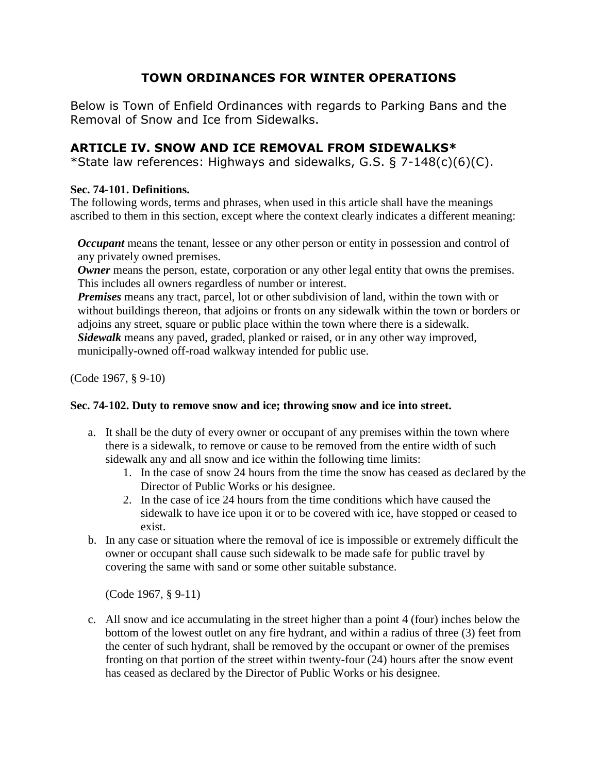# **TOWN ORDINANCES FOR WINTER OPERATIONS**

Below is Town of Enfield Ordinances with regards to Parking Bans and the Removal of Snow and Ice from Sidewalks.

### **ARTICLE IV. SNOW AND ICE REMOVAL FROM SIDEWALKS\***

\*State law references: Highways and sidewalks, G.S. § 7-148(c)(6)(C).

#### **Sec. 74-101. Definitions.**

The following words, terms and phrases, when used in this article shall have the meanings ascribed to them in this section, except where the context clearly indicates a different meaning:

*Occupant* means the tenant, lessee or any other person or entity in possession and control of any privately owned premises.

**Owner** means the person, estate, corporation or any other legal entity that owns the premises. This includes all owners regardless of number or interest.

*Premises* means any tract, parcel, lot or other subdivision of land, within the town with or without buildings thereon, that adjoins or fronts on any sidewalk within the town or borders or adjoins any street, square or public place within the town where there is a sidewalk. *Sidewalk* means any paved, graded, planked or raised, or in any other way improved, municipally-owned off-road walkway intended for public use.

(Code 1967, § 9-10)

#### **Sec. 74-102. Duty to remove snow and ice; throwing snow and ice into street.**

- a. It shall be the duty of every owner or occupant of any premises within the town where there is a sidewalk, to remove or cause to be removed from the entire width of such sidewalk any and all snow and ice within the following time limits:
	- 1. In the case of snow 24 hours from the time the snow has ceased as declared by the Director of Public Works or his designee.
	- 2. In the case of ice 24 hours from the time conditions which have caused the sidewalk to have ice upon it or to be covered with ice, have stopped or ceased to exist.
- b. In any case or situation where the removal of ice is impossible or extremely difficult the owner or occupant shall cause such sidewalk to be made safe for public travel by covering the same with sand or some other suitable substance.

(Code 1967, § 9-11)

c. All snow and ice accumulating in the street higher than a point 4 (four) inches below the bottom of the lowest outlet on any fire hydrant, and within a radius of three (3) feet from the center of such hydrant, shall be removed by the occupant or owner of the premises fronting on that portion of the street within twenty-four (24) hours after the snow event has ceased as declared by the Director of Public Works or his designee.